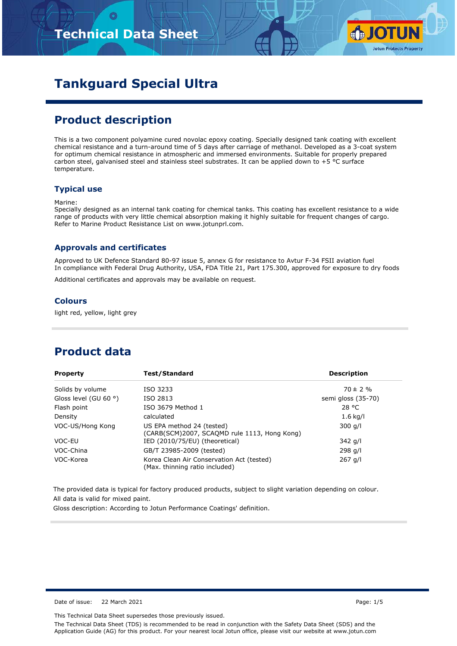

# **Tankguard Special Ultra**

## **Product description**

This is a two component polyamine cured novolac epoxy coating. Specially designed tank coating with excellent chemical resistance and a turn-around time of 5 days after carriage of methanol. Developed as a 3-coat system for optimum chemical resistance in atmospheric and immersed environments. Suitable for properly prepared carbon steel, galvanised steel and stainless steel substrates. It can be applied down to +5 °C surface temperature.

#### **Typical use**

#### Marine:

Specially designed as an internal tank coating for chemical tanks. This coating has excellent resistance to a wide range of products with very little chemical absorption making it highly suitable for frequent changes of cargo. Refer to Marine Product Resistance List on www.jotunprl.com.

#### **Approvals and certificates**

Approved to UK Defence Standard 80-97 issue 5, annex G for resistance to Avtur F-34 FSII aviation fuel In compliance with Federal Drug Authority, USA, FDA Title 21, Part 175.300, approved for exposure to dry foods

Additional certificates and approvals may be available on request.

#### **Colours**

light red, yellow, light grey

# **Product data**

| <b>Property</b>                | <b>Test/Standard</b>                                                        | <b>Description</b> |
|--------------------------------|-----------------------------------------------------------------------------|--------------------|
| Solids by volume               | ISO 3233                                                                    | $70 \pm 2 \%$      |
| Gloss level (GU 60 $\degree$ ) | ISO 2813                                                                    | semi gloss (35-70) |
| Flash point                    | ISO 3679 Method 1                                                           | 28 °C              |
| Density                        | calculated                                                                  | $1.6$ kg/l         |
| VOC-US/Hong Kong               | US EPA method 24 (tested)<br>(CARB(SCM)2007, SCAQMD rule 1113, Hong Kong)   | $300$ g/l          |
| VOC-EU                         | IED (2010/75/EU) (theoretical)                                              | 342 g/l            |
| VOC-China                      | GB/T 23985-2009 (tested)                                                    | 298 g/l            |
| VOC-Korea                      | Korea Clean Air Conservation Act (tested)<br>(Max. thinning ratio included) | $267$ g/l          |

The provided data is typical for factory produced products, subject to slight variation depending on colour. All data is valid for mixed paint.

Gloss description: According to Jotun Performance Coatings' definition.

Date of issue: 22 March 2021 Page: 1/5

This Technical Data Sheet supersedes those previously issued.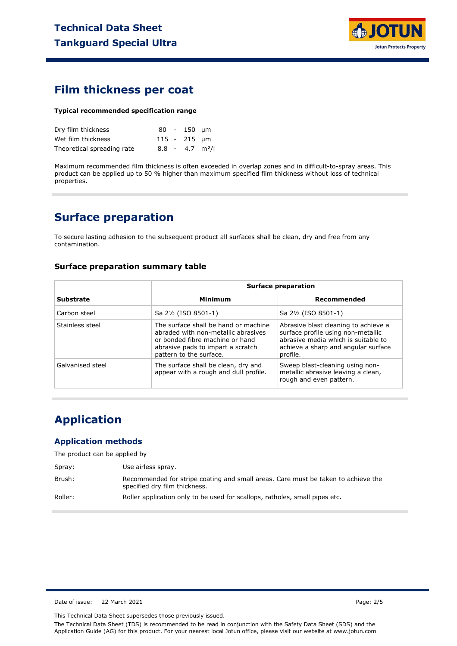

### **Film thickness per coat**

#### **Typical recommended specification range**

| Dry film thickness         |  | $80 - 150$ um |                               |
|----------------------------|--|---------------|-------------------------------|
| Wet film thickness         |  | 115 - 215 um  |                               |
| Theoretical spreading rate |  |               | $8.8 - 4.7$ m <sup>2</sup> /l |

Maximum recommended film thickness is often exceeded in overlap zones and in difficult-to-spray areas. This product can be applied up to 50 % higher than maximum specified film thickness without loss of technical properties.

## **Surface preparation**

To secure lasting adhesion to the subsequent product all surfaces shall be clean, dry and free from any contamination.

#### **Surface preparation summary table**

|                  | <b>Surface preparation</b>                                                                                                                                                     |                                                                                                                                                                      |  |  |  |
|------------------|--------------------------------------------------------------------------------------------------------------------------------------------------------------------------------|----------------------------------------------------------------------------------------------------------------------------------------------------------------------|--|--|--|
| Substrate        | Minimum                                                                                                                                                                        | Recommended                                                                                                                                                          |  |  |  |
| Carbon steel     | Sa 2½ (ISO 8501-1)                                                                                                                                                             | Sa 2½ (ISO 8501-1)                                                                                                                                                   |  |  |  |
| Stainless steel  | The surface shall be hand or machine<br>abraded with non-metallic abrasives<br>or bonded fibre machine or hand<br>abrasive pads to impart a scratch<br>pattern to the surface. | Abrasive blast cleaning to achieve a<br>surface profile using non-metallic<br>abrasive media which is suitable to<br>achieve a sharp and angular surface<br>profile. |  |  |  |
| Galvanised steel | The surface shall be clean, dry and<br>appear with a rough and dull profile.                                                                                                   | Sweep blast-cleaning using non-<br>metallic abrasive leaving a clean,<br>rough and even pattern.                                                                     |  |  |  |

# **Application**

#### **Application methods**

The product can be applied by

| Spray:  | Use airless spray.                                                                                                 |
|---------|--------------------------------------------------------------------------------------------------------------------|
| Brush:  | Recommended for stripe coating and small areas. Care must be taken to achieve the<br>specified dry film thickness. |
| Roller: | Roller application only to be used for scallops, ratholes, small pipes etc.                                        |

Date of issue: 22 March 2021 Page: 2/5

This Technical Data Sheet supersedes those previously issued.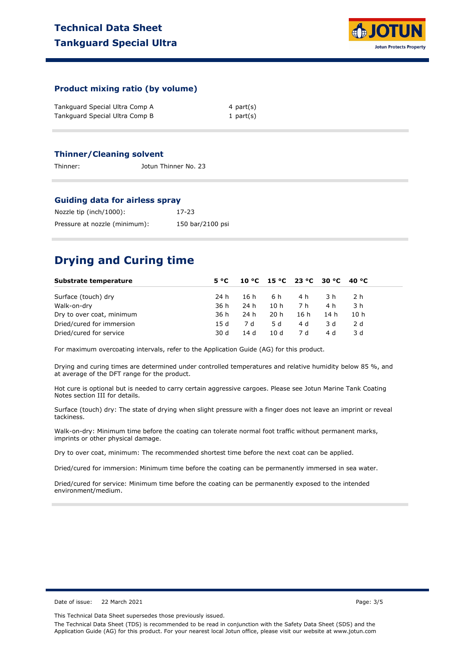### **Technical Data Sheet Tankguard Special Ultra**



#### **Product mixing ratio (by volume)**

| Tankguard Special Ultra Comp A | 4 part(s)    |
|--------------------------------|--------------|
| Tankguard Special Ultra Comp B | 1 part $(s)$ |

#### **Thinner/Cleaning solvent**

Thinner: Jotun Thinner No. 23

#### **Guiding data for airless spray**

| Nozzle tip (inch/1000):       | 17-23            |
|-------------------------------|------------------|
| Pressure at nozzle (minimum): | 150 bar/2100 psi |

### **Drying and Curing time**

| Substrate temperature     | 5 °C |      | 10 °C 15 °C 23 °C 30 °C 40 °C |      |      |     |
|---------------------------|------|------|-------------------------------|------|------|-----|
| Surface (touch) dry       | 24 h | 16 h | 6 h                           | 4 h  | 3 h  | 2 h |
| Walk-on-dry               | 36 h | 24 h | 10h                           | 7 h  | 4 h  | 3 h |
| Dry to over coat, minimum | 36 h | 24 h | 20 h                          | 16 h | 14 h | 10h |
| Dried/cured for immersion | 15 d | 7 d  | 5 d                           | 4 d  | 3 d  | 2 d |
| Dried/cured for service   | 30 d | 14 d | 10d                           | 7 d  | 4 d  | 3 d |

For maximum overcoating intervals, refer to the Application Guide (AG) for this product.

Drying and curing times are determined under controlled temperatures and relative humidity below 85 %, and at average of the DFT range for the product.

Hot cure is optional but is needed to carry certain aggressive cargoes. Please see Jotun Marine Tank Coating Notes section III for details.

Surface (touch) dry: The state of drying when slight pressure with a finger does not leave an imprint or reveal tackiness.

Walk-on-dry: Minimum time before the coating can tolerate normal foot traffic without permanent marks, imprints or other physical damage.

Dry to over coat, minimum: The recommended shortest time before the next coat can be applied.

Dried/cured for immersion: Minimum time before the coating can be permanently immersed in sea water.

Dried/cured for service: Minimum time before the coating can be permanently exposed to the intended environment/medium.

Date of issue: 22 March 2021 **Page: 3/5** 

This Technical Data Sheet supersedes those previously issued.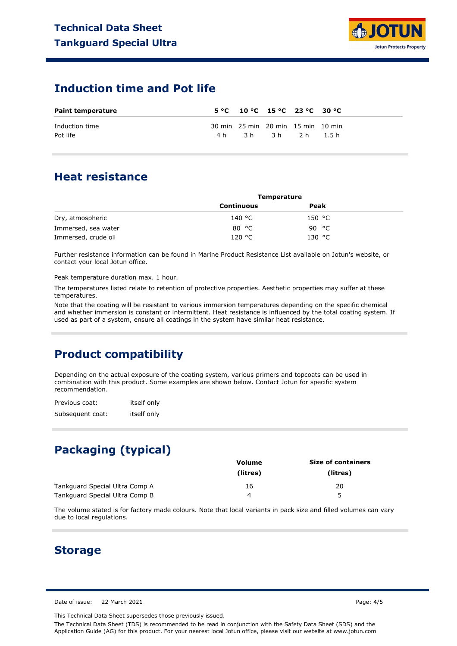

### **Induction time and Pot life**

| <b>Paint temperature</b>   |  | $5^{\circ}$ C 10 °C 15 °C 23 °C 30 °C                  |  |
|----------------------------|--|--------------------------------------------------------|--|
| Induction time<br>Pot life |  | 30 min 25 min 20 min 15 min 10 min<br>4h 3h 3h 2h 1.5h |  |

### **Heat resistance**

|                     | <b>Temperature</b> |        |  |
|---------------------|--------------------|--------|--|
|                     | Continuous         | Peak   |  |
| Dry, atmospheric    | 140 °C             | 150 °C |  |
| Immersed, sea water | 80 °C              | 90 °C  |  |
| Immersed, crude oil | 120 °C             | 130 °C |  |

Further resistance information can be found in Marine Product Resistance List available on Jotun's website, or contact your local Jotun office.

Peak temperature duration max. 1 hour.

The temperatures listed relate to retention of protective properties. Aesthetic properties may suffer at these temperatures.

Note that the coating will be resistant to various immersion temperatures depending on the specific chemical and whether immersion is constant or intermittent. Heat resistance is influenced by the total coating system. If used as part of a system, ensure all coatings in the system have similar heat resistance.

### **Product compatibility**

Depending on the actual exposure of the coating system, various primers and topcoats can be used in combination with this product. Some examples are shown below. Contact Jotun for specific system recommendation.

Previous coat: Subsequent coat: itself only itself only

# **Packaging (typical)**

|                                | Volume   | <b>Size of containers</b> |
|--------------------------------|----------|---------------------------|
|                                | (litres) | (litres)                  |
| Tankguard Special Ultra Comp A | 16       | 20                        |
| Tankguard Special Ultra Comp B | 4        | 5                         |

The volume stated is for factory made colours. Note that local variants in pack size and filled volumes can vary due to local regulations.

### **Storage**

Date of issue: 22 March 2021 Page: 4/5

This Technical Data Sheet supersedes those previously issued.